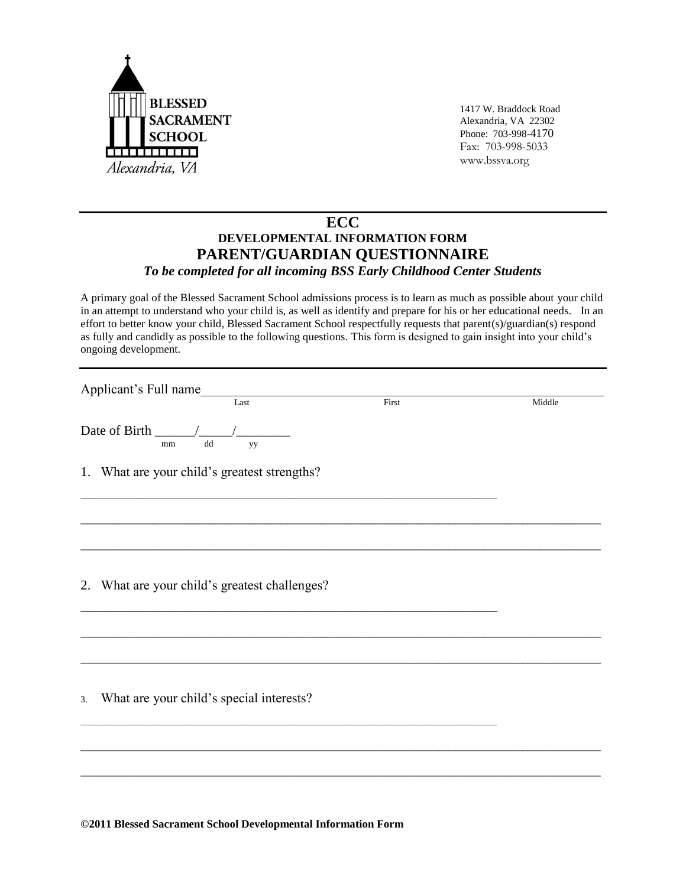

1417 W. Braddock Road Alexandria, VA 22302 Phone: 703-998-4170 Fax: 703-998-5033 www.bssva.org

## **ECC DEVELOPMENTAL INFORMATION FORM PARENT/GUARDIAN QUESTIONNAIRE** *To be completed for all incoming BSS Early Childhood Center Students*

A primary goal of the Blessed Sacrament School admissions process is to learn as much as possible about your child in an attempt to understand who your child is, as well as identify and prepare for his or her educational needs. In an effort to better know your child, Blessed Sacrament School respectfully requests that parent(s)/guardian(s) respond as fully and candidly as possible to the following questions. This form is designed to gain insight into your child's ongoing development.

| Applicant's Full name<br>Last                  | First | Middle |
|------------------------------------------------|-------|--------|
| $\mathrm{d}\mathrm{d}$<br>yy<br>mm             |       |        |
| 1. What are your child's greatest strengths?   |       |        |
|                                                |       |        |
| 2. What are your child's greatest challenges?  |       |        |
|                                                |       |        |
| What are your child's special interests?<br>3. |       |        |
|                                                |       |        |
|                                                |       |        |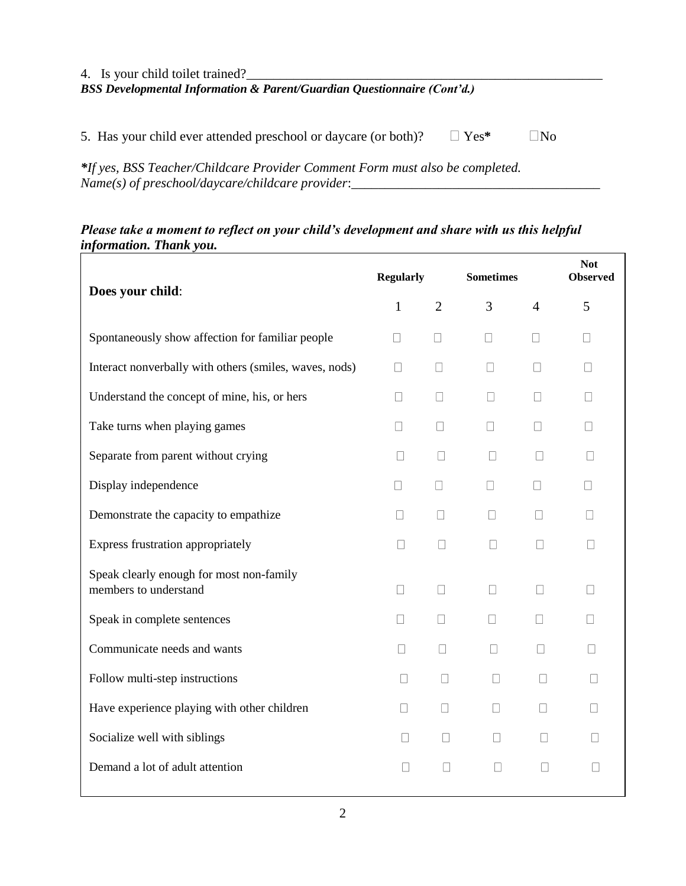| 4. Is your child toilet trained?<br><b>BSS</b> Developmental Information & Parent/Guardian Questionnaire (Cont'd.) |             |                    |  |  |
|--------------------------------------------------------------------------------------------------------------------|-------------|--------------------|--|--|
| 5. Has your child ever attended preschool or daycare (or both)?                                                    | $\Box$ Yes* | $\overline{N_{0}}$ |  |  |
| *If yes, RSS Teacher/Childcare Provider Comment Form must also be completed                                        |             |                    |  |  |

*\*If yes, BSS Teacher/Childcare Provider Comment Form must also be completed. Name(s) of preschool/daycare/childcare provider*:\_\_\_\_\_\_\_\_\_\_\_\_\_\_\_\_\_\_\_\_\_\_\_\_\_\_\_\_\_\_\_\_\_\_\_\_\_

## *Please take a moment to reflect on your child's development and share with us this helpful information. Thank you.*

| Does your child:                                                  | <b>Regularly</b> |                | <b>Sometimes</b> |                   | <b>Not</b><br><b>Observed</b> |
|-------------------------------------------------------------------|------------------|----------------|------------------|-------------------|-------------------------------|
|                                                                   | $\mathbf{1}$     | $\overline{2}$ | 3                | $\overline{4}$    | 5                             |
| Spontaneously show affection for familiar people                  | П                | $\mathbf{L}$   | $\Box$           | $\Box$            | $\Box$                        |
| Interact nonverbally with others (smiles, waves, nods)            | $\Box$           | $\Box$         | $\Box$           | $\Box$            | П                             |
| Understand the concept of mine, his, or hers                      | П                | П              | П                | П                 | П                             |
| Take turns when playing games                                     | П                | П              | $\mathbf{L}$     | П                 |                               |
| Separate from parent without crying                               | $\Box$           | $\mathbf{1}$   | $\mathbf{L}$     |                   |                               |
| Display independence                                              | $\vert$          | $\mathbf{L}$   | $\Box$           | $\mathbf{L}$      | $\Box$                        |
| Demonstrate the capacity to empathize                             | $\mathbf{L}$     | $\mathbf{L}$   | $\mathbf{L}$     | $\Box$            | $\Box$                        |
| Express frustration appropriately                                 | $\Box$           | $\Box$         | $\Box$           | П                 | $\Box$                        |
| Speak clearly enough for most non-family<br>members to understand | П                | П              | $\Box$           | $\vert \ \ \vert$ |                               |
| Speak in complete sentences                                       | $\Box$           | $\Box$         | $\Box$           | $\mathbf{L}$      | $\mathbf{L}$                  |
| Communicate needs and wants                                       | $\mathbf{L}$     | П              | П                | $\Box$            | $\mathbf{L}$                  |
| Follow multi-step instructions                                    | П                | П              | П                | П                 | П                             |
| Have experience playing with other children                       | $\Box$           | $\Box$         | $\Box$           | $\Box$            | П                             |
| Socialize well with siblings                                      | $\Box$           | $\Box$         | $\Box$           | $\Box$            | П                             |
| Demand a lot of adult attention                                   | П                | $\mathbf{L}$   | П                |                   |                               |